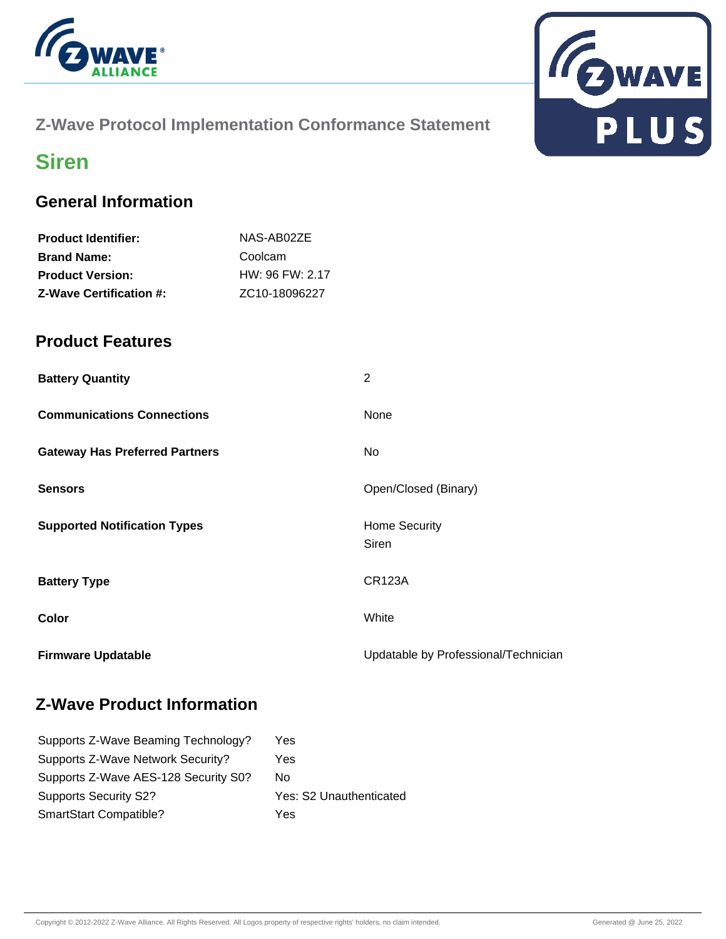

### **Z-Wave Protocol Implementation Conformance Statement**



# **Siren**

### **General Information**

| NAS-AB02ZE                 |
|----------------------------|
| Coolcam                    |
| $HW: 96$ FW: 2.17          |
| ZC <sub>10</sub> -18096227 |
|                            |

#### **Product Features**

| <b>Battery Quantity</b>               | 2                                    |
|---------------------------------------|--------------------------------------|
| <b>Communications Connections</b>     | None                                 |
| <b>Gateway Has Preferred Partners</b> | No.                                  |
| <b>Sensors</b>                        | Open/Closed (Binary)                 |
| <b>Supported Notification Types</b>   | <b>Home Security</b><br>Siren        |
| <b>Battery Type</b>                   | <b>CR123A</b>                        |
| Color                                 | White                                |
| <b>Firmware Updatable</b>             | Updatable by Professional/Technician |

### **Z-Wave Product Information**

| Yes                     |
|-------------------------|
| Yes                     |
| No.                     |
| Yes: S2 Unauthenticated |
| Yes                     |
|                         |